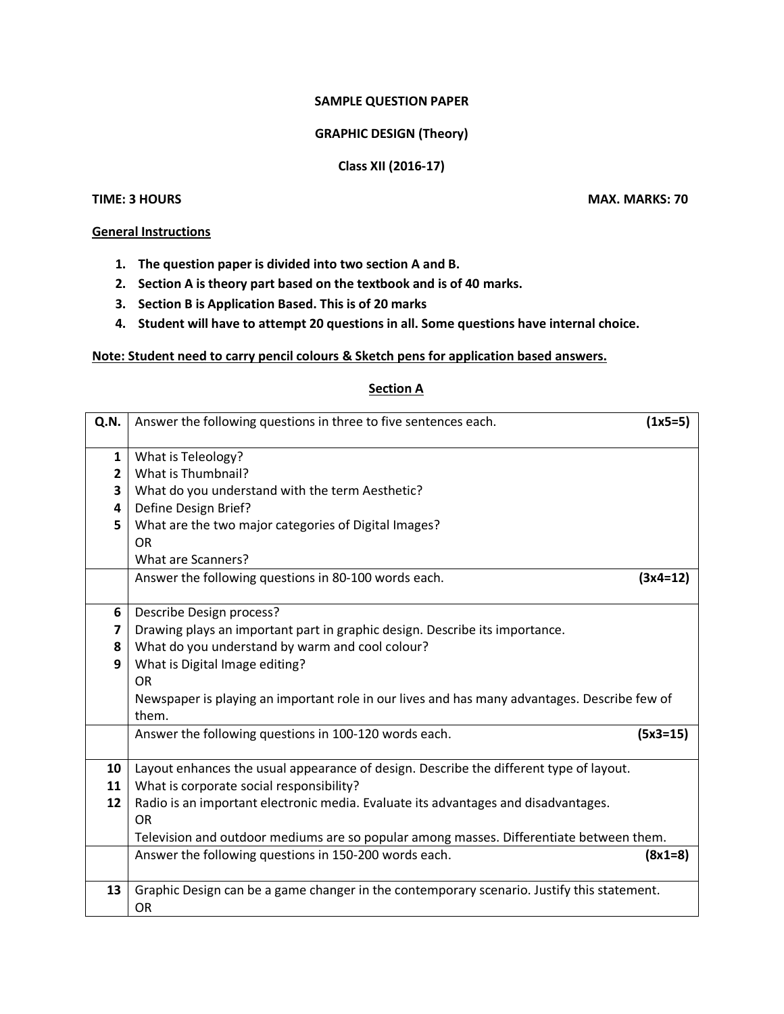## **SAMPLE QUESTION PAPER**

## **GRAPHIC DESIGN (Theory)**

## **Class XII (2016-17)**

## **TIME: 3 HOURS MAX. MARKS: 70**

## **General Instructions**

- **1. The question paper is divided into two section A and B.**
- **2. Section A is theory part based on the textbook and is of 40 marks.**
- **3. Section B is Application Based. This is of 20 marks**
- **4. Student will have to attempt 20 questions in all. Some questions have internal choice.**

### **Note: Student need to carry pencil colours & Sketch pens for application based answers.**

### **Section A**

| Q.N.                    | Answer the following questions in three to five sentences each.                                         | $(1x5=5)$  |
|-------------------------|---------------------------------------------------------------------------------------------------------|------------|
| 1                       | What is Teleology?                                                                                      |            |
| $\overline{2}$          | What is Thumbnail?                                                                                      |            |
| 3                       | What do you understand with the term Aesthetic?                                                         |            |
| $\overline{\mathbf{4}}$ | Define Design Brief?                                                                                    |            |
| 5                       | What are the two major categories of Digital Images?                                                    |            |
|                         | <b>OR</b>                                                                                               |            |
|                         | What are Scanners?                                                                                      |            |
|                         | Answer the following questions in 80-100 words each.                                                    | $(3x4=12)$ |
| 6                       | Describe Design process?                                                                                |            |
| $\overline{\mathbf{z}}$ | Drawing plays an important part in graphic design. Describe its importance.                             |            |
| 8                       | What do you understand by warm and cool colour?                                                         |            |
| 9                       | What is Digital Image editing?                                                                          |            |
|                         | <b>OR</b>                                                                                               |            |
|                         | Newspaper is playing an important role in our lives and has many advantages. Describe few of            |            |
|                         | them.                                                                                                   |            |
|                         | Answer the following questions in 100-120 words each.                                                   | $(5x3=15)$ |
|                         |                                                                                                         |            |
| 10                      | Layout enhances the usual appearance of design. Describe the different type of layout.                  |            |
| 11                      | What is corporate social responsibility?                                                                |            |
| 12                      | Radio is an important electronic media. Evaluate its advantages and disadvantages.                      |            |
|                         | OR                                                                                                      |            |
|                         | Television and outdoor mediums are so popular among masses. Differentiate between them.                 |            |
|                         | Answer the following questions in 150-200 words each.                                                   | $(8x1=8)$  |
| 13                      | Graphic Design can be a game changer in the contemporary scenario. Justify this statement.<br><b>OR</b> |            |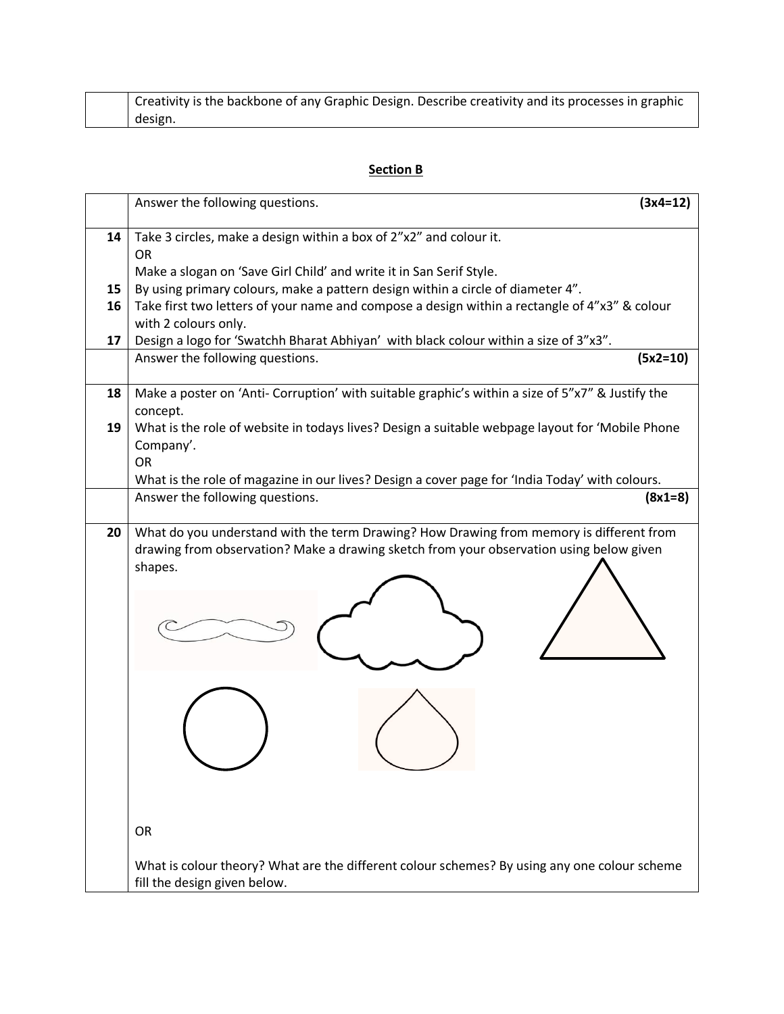|  | Creativity is the backbone of any Graphic Design. Describe creativity and its processes in graphic |
|--|----------------------------------------------------------------------------------------------------|
|  | design.                                                                                            |

# **Section B**

|    | Answer the following questions.<br>$(3x4=12)$                                                                                                                                    |
|----|----------------------------------------------------------------------------------------------------------------------------------------------------------------------------------|
| 14 | Take 3 circles, make a design within a box of 2"x2" and colour it.                                                                                                               |
|    | <b>OR</b>                                                                                                                                                                        |
| 15 | Make a slogan on 'Save Girl Child' and write it in San Serif Style.                                                                                                              |
| 16 | By using primary colours, make a pattern design within a circle of diameter 4".<br>Take first two letters of your name and compose a design within a rectangle of 4"x3" & colour |
|    | with 2 colours only.                                                                                                                                                             |
| 17 | Design a logo for 'Swatchh Bharat Abhiyan' with black colour within a size of 3"x3".                                                                                             |
|    | Answer the following questions.<br>$(5x2=10)$                                                                                                                                    |
| 18 | Make a poster on 'Anti- Corruption' with suitable graphic's within a size of 5"x7" & Justify the<br>concept.                                                                     |
| 19 | What is the role of website in todays lives? Design a suitable webpage layout for 'Mobile Phone<br>Company'.<br><b>OR</b>                                                        |
|    | What is the role of magazine in our lives? Design a cover page for 'India Today' with colours.                                                                                   |
|    | Answer the following questions.<br>$(8x1=8)$                                                                                                                                     |
| 20 | What do you understand with the term Drawing? How Drawing from memory is different from                                                                                          |
|    | drawing from observation? Make a drawing sketch from your observation using below given<br>shapes.                                                                               |
|    |                                                                                                                                                                                  |
|    | <b>OR</b>                                                                                                                                                                        |
|    | What is colour theory? What are the different colour schemes? By using any one colour scheme<br>fill the design given below.                                                     |